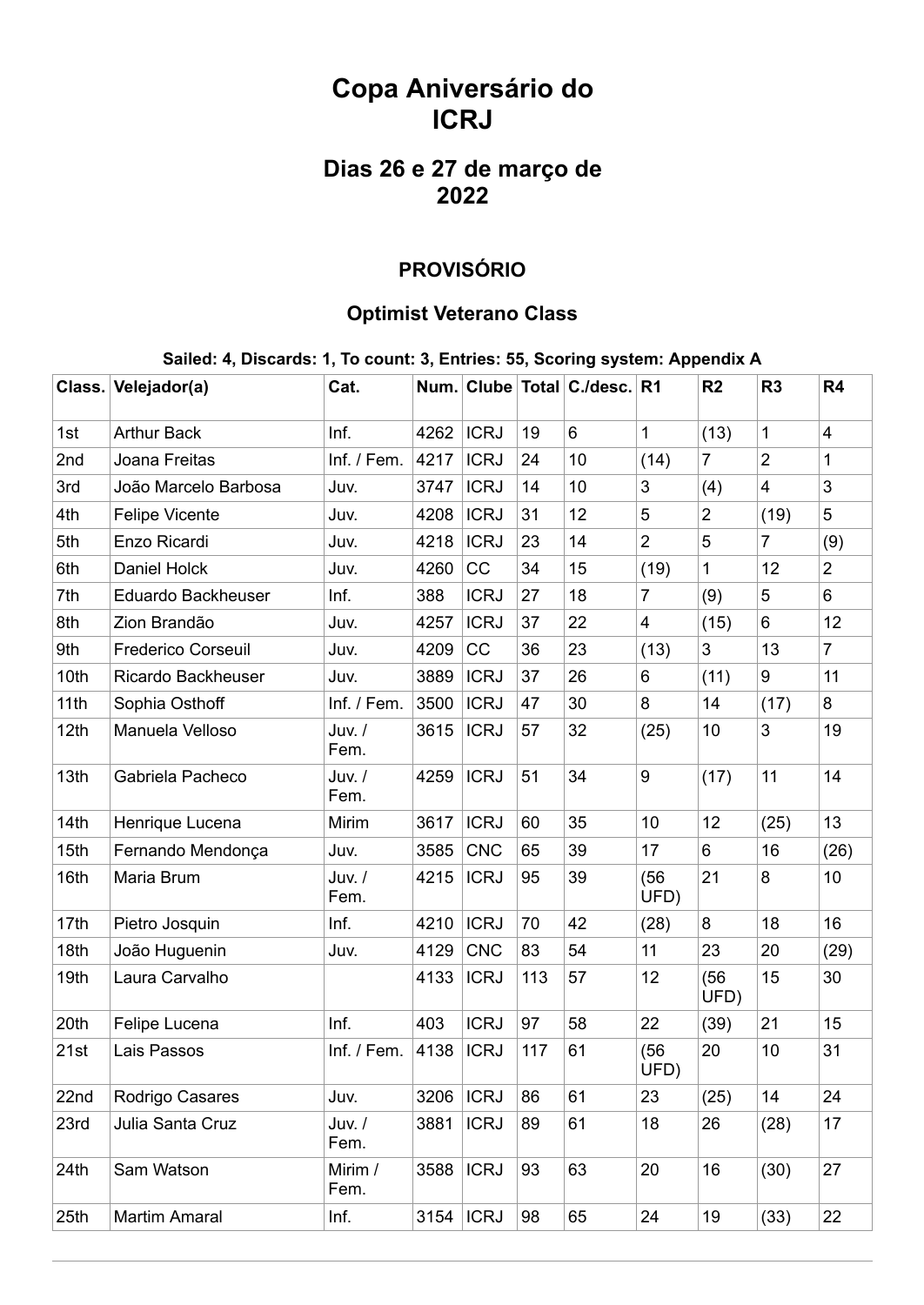# **Copa Aniversário do ICRJ**

## **Dias 26 e 27 de março de 2022**

### **PROVISÓRIO**

#### **Optimist Veterano Class**

#### **Sailed: 4, Discards: 1, To count: 3, Entries: 55, Scoring system: Appendix A**

| Class. | Velejador(a)              | Cat.             |      |             |     | Num. Clube Total C./desc. R1 |                         | R <sub>2</sub> | R <sub>3</sub>          | R4             |
|--------|---------------------------|------------------|------|-------------|-----|------------------------------|-------------------------|----------------|-------------------------|----------------|
| 1st    | <b>Arthur Back</b>        | Inf.             | 4262 | <b>ICRJ</b> | 19  | 6                            | 1                       | (13)           | $\mathbf 1$             | $\overline{4}$ |
| 2nd    | Joana Freitas             | Inf. / Fem.      | 4217 | <b>ICRJ</b> | 24  | 10                           | (14)                    | $\overline{7}$ | $\overline{2}$          | $\mathbf{1}$   |
| 3rd    | João Marcelo Barbosa      | Juv.             | 3747 | <b>ICRJ</b> | 14  | 10                           | 3                       | (4)            | $\overline{\mathbf{4}}$ | 3              |
| 4th    | <b>Felipe Vicente</b>     | Juv.             | 4208 | <b>ICRJ</b> | 31  | 12                           | 5                       | $\overline{2}$ | (19)                    | 5              |
| 5th    | Enzo Ricardi              | Juv.             | 4218 | <b>ICRJ</b> | 23  | 14                           | $\overline{2}$          | 5              | 7                       | (9)            |
| 6th    | Daniel Holck              | Juv.             | 4260 | CC          | 34  | 15                           | (19)                    | 1              | 12                      | $\overline{2}$ |
| 7th    | <b>Eduardo Backheuser</b> | Inf.             | 388  | <b>ICRJ</b> | 27  | 18                           | $\overline{7}$          | (9)            | 5                       | 6              |
| 8th    | Zion Brandão              | Juv.             | 4257 | <b>ICRJ</b> | 37  | 22                           | $\overline{\mathbf{4}}$ | (15)           | 6                       | 12             |
| 9th    | <b>Frederico Corseuil</b> | Juv.             | 4209 | CC          | 36  | 23                           | (13)                    | 3              | 13                      | $\overline{7}$ |
| 10th   | Ricardo Backheuser        | Juv.             | 3889 | <b>ICRJ</b> | 37  | 26                           | 6                       | (11)           | 9                       | 11             |
| 11th   | Sophia Osthoff            | Inf. / Fem.      | 3500 | <b>ICRJ</b> | 47  | 30                           | 8                       | 14             | (17)                    | 8              |
| 12th   | Manuela Velloso           | Juv. /<br>Fem.   | 3615 | <b>ICRJ</b> | 57  | 32                           | (25)                    | 10             | 3                       | 19             |
| 13th   | Gabriela Pacheco          | Juv. /<br>Fem.   | 4259 | <b>ICRJ</b> | 51  | 34                           | 9                       | (17)           | 11                      | 14             |
| 14th   | Henrique Lucena           | Mirim            | 3617 | <b>ICRJ</b> | 60  | 35                           | 10                      | 12             | (25)                    | 13             |
| 15th   | Fernando Mendonça         | Juv.             | 3585 | <b>CNC</b>  | 65  | 39                           | 17                      | 6              | 16                      | (26)           |
| 16th   | Maria Brum                | $Juv.$ /<br>Fem. | 4215 | <b>ICRJ</b> | 95  | 39                           | (56)<br>UFD)            | 21             | 8                       | 10             |
| 17th   | Pietro Josquin            | Inf.             | 4210 | <b>ICRJ</b> | 70  | 42                           | (28)                    | 8              | 18                      | 16             |
| 18th   | João Huguenin             | Juv.             | 4129 | <b>CNC</b>  | 83  | 54                           | 11                      | 23             | 20                      | (29)           |
| 19th   | Laura Carvalho            |                  | 4133 | <b>ICRJ</b> | 113 | 57                           | 12                      | (56)<br>UFD)   | 15                      | 30             |
| 20th   | Felipe Lucena             | Inf.             | 403  | <b>ICRJ</b> | 97  | 58                           | 22                      | (39)           | 21                      | 15             |
| 21st   | Lais Passos               | Inf. / Fem.      | 4138 | <b>ICRJ</b> | 117 | 61                           | (56)<br>UFD)            | 20             | 10                      | 31             |
| 22nd   | Rodrigo Casares           | Juv.             | 3206 | <b>ICRJ</b> | 86  | 61                           | 23                      | (25)           | 14                      | 24             |
| 23rd   | Julia Santa Cruz          | Juv. /<br>Fem.   | 3881 | <b>ICRJ</b> | 89  | 61                           | 18                      | 26             | (28)                    | 17             |
| 24th   | Sam Watson                | Mirim /<br>Fem.  | 3588 | <b>ICRJ</b> | 93  | 63                           | 20                      | 16             | (30)                    | 27             |
| 25th   | <b>Martim Amaral</b>      | Inf.             | 3154 | <b>ICRJ</b> | 98  | 65                           | 24                      | 19             | (33)                    | 22             |